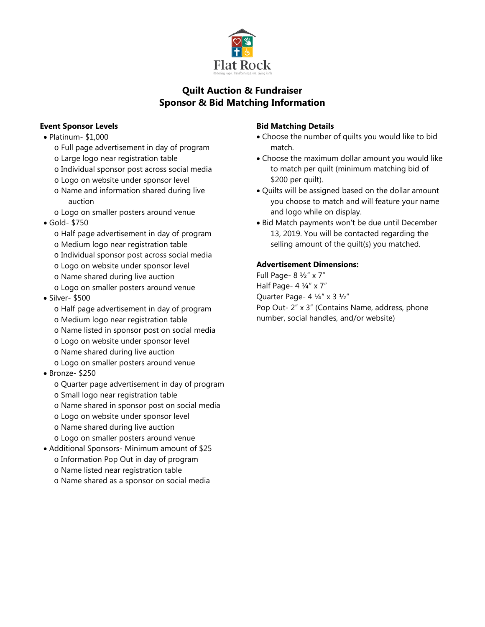

# **Quilt Auction & Fundraiser Sponsor & Bid Matching Information**

## **Event Sponsor Levels**

- Platinum- \$1,000
	- o Full page advertisement in day of program
	- o Large logo near registration table
	- o Individual sponsor post across social media
	- o Logo on website under sponsor level
	- o Name and information shared during live auction
	- o Logo on smaller posters around venue
- Gold- \$750
	- o Half page advertisement in day of program
	- o Medium logo near registration table
	- o Individual sponsor post across social media
	- o Logo on website under sponsor level
	- o Name shared during live auction
	- o Logo on smaller posters around venue
- Silver- \$500
	- o Half page advertisement in day of program
	- o Medium logo near registration table
	- o Name listed in sponsor post on social media
	- o Logo on website under sponsor level
	- o Name shared during live auction
	- o Logo on smaller posters around venue
- Bronze- \$250
	- o Quarter page advertisement in day of program
	- o Small logo near registration table
	- o Name shared in sponsor post on social media
	- o Logo on website under sponsor level
	- o Name shared during live auction
	- o Logo on smaller posters around venue
- Additional Sponsors- Minimum amount of \$25
	- o Information Pop Out in day of program
	- o Name listed near registration table
	- o Name shared as a sponsor on social media

#### **Bid Matching Details**

- Choose the number of quilts you would like to bid match.
- Choose the maximum dollar amount you would like to match per quilt (minimum matching bid of \$200 per quilt).
- Quilts will be assigned based on the dollar amount you choose to match and will feature your name and logo while on display.
- Bid Match payments won't be due until December 13, 2019. You will be contacted regarding the selling amount of the quilt(s) you matched.

### **Advertisement Dimensions:**

Full Page- 8 ½" x 7" Half Page- 4 ¼" x 7" Quarter Page- 4 ¼" x 3 ½" Pop Out- 2" x 3" (Contains Name, address, phone number, social handles, and/or website)